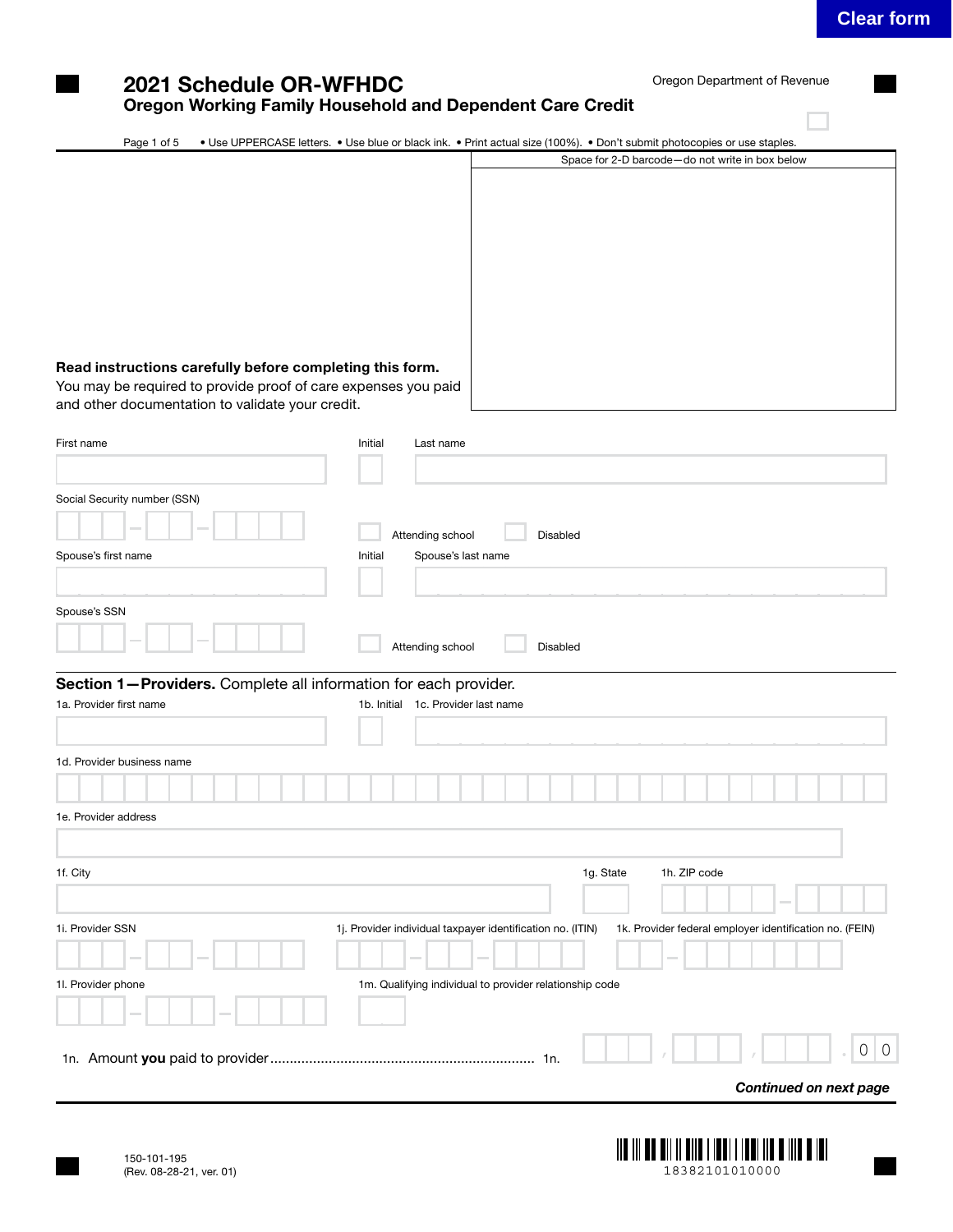$\Box$ 

### 2021 Schedule OR-WFHDC

Oregon Department of Revenue

### Oregon Working Family Household and Dependent Care Credit

| Space for 2-D barcode-do not write in box below<br>Read instructions carefully before completing this form.<br>You may be required to provide proof of care expenses you paid<br>and other documentation to validate your credit.<br>First name<br>Initial<br>Last name<br>Social Security number (SSN)<br>Attending school<br><b>Disabled</b><br>Spouse's last name<br>Initial<br>Spouse's SSN<br>Attending school<br>Disabled<br>Section 1-Providers. Complete all information for each provider.<br>1b. Initial 1c. Provider last name<br>1d. Provider business name<br>1g. State<br>1h. ZIP code<br>1j. Provider individual taxpayer identification no. (ITIN)<br>1i. Provider SSN<br>1k. Provider federal employer identification no. (FEIN)<br>1m. Qualifying individual to provider relationship code<br>0<br>$\circ$ | Page 1 of 5             | • Use UPPERCASE letters. • Use blue or black ink. • Print actual size (100%). • Don't submit photocopies or use staples. |
|------------------------------------------------------------------------------------------------------------------------------------------------------------------------------------------------------------------------------------------------------------------------------------------------------------------------------------------------------------------------------------------------------------------------------------------------------------------------------------------------------------------------------------------------------------------------------------------------------------------------------------------------------------------------------------------------------------------------------------------------------------------------------------------------------------------------------|-------------------------|--------------------------------------------------------------------------------------------------------------------------|
|                                                                                                                                                                                                                                                                                                                                                                                                                                                                                                                                                                                                                                                                                                                                                                                                                              |                         |                                                                                                                          |
|                                                                                                                                                                                                                                                                                                                                                                                                                                                                                                                                                                                                                                                                                                                                                                                                                              |                         |                                                                                                                          |
|                                                                                                                                                                                                                                                                                                                                                                                                                                                                                                                                                                                                                                                                                                                                                                                                                              |                         |                                                                                                                          |
|                                                                                                                                                                                                                                                                                                                                                                                                                                                                                                                                                                                                                                                                                                                                                                                                                              |                         |                                                                                                                          |
|                                                                                                                                                                                                                                                                                                                                                                                                                                                                                                                                                                                                                                                                                                                                                                                                                              |                         |                                                                                                                          |
|                                                                                                                                                                                                                                                                                                                                                                                                                                                                                                                                                                                                                                                                                                                                                                                                                              |                         |                                                                                                                          |
|                                                                                                                                                                                                                                                                                                                                                                                                                                                                                                                                                                                                                                                                                                                                                                                                                              |                         |                                                                                                                          |
|                                                                                                                                                                                                                                                                                                                                                                                                                                                                                                                                                                                                                                                                                                                                                                                                                              |                         |                                                                                                                          |
|                                                                                                                                                                                                                                                                                                                                                                                                                                                                                                                                                                                                                                                                                                                                                                                                                              |                         |                                                                                                                          |
|                                                                                                                                                                                                                                                                                                                                                                                                                                                                                                                                                                                                                                                                                                                                                                                                                              |                         |                                                                                                                          |
|                                                                                                                                                                                                                                                                                                                                                                                                                                                                                                                                                                                                                                                                                                                                                                                                                              |                         |                                                                                                                          |
|                                                                                                                                                                                                                                                                                                                                                                                                                                                                                                                                                                                                                                                                                                                                                                                                                              |                         |                                                                                                                          |
|                                                                                                                                                                                                                                                                                                                                                                                                                                                                                                                                                                                                                                                                                                                                                                                                                              |                         |                                                                                                                          |
|                                                                                                                                                                                                                                                                                                                                                                                                                                                                                                                                                                                                                                                                                                                                                                                                                              |                         |                                                                                                                          |
|                                                                                                                                                                                                                                                                                                                                                                                                                                                                                                                                                                                                                                                                                                                                                                                                                              |                         |                                                                                                                          |
|                                                                                                                                                                                                                                                                                                                                                                                                                                                                                                                                                                                                                                                                                                                                                                                                                              |                         |                                                                                                                          |
|                                                                                                                                                                                                                                                                                                                                                                                                                                                                                                                                                                                                                                                                                                                                                                                                                              | Spouse's first name     |                                                                                                                          |
|                                                                                                                                                                                                                                                                                                                                                                                                                                                                                                                                                                                                                                                                                                                                                                                                                              |                         |                                                                                                                          |
|                                                                                                                                                                                                                                                                                                                                                                                                                                                                                                                                                                                                                                                                                                                                                                                                                              |                         |                                                                                                                          |
|                                                                                                                                                                                                                                                                                                                                                                                                                                                                                                                                                                                                                                                                                                                                                                                                                              |                         |                                                                                                                          |
|                                                                                                                                                                                                                                                                                                                                                                                                                                                                                                                                                                                                                                                                                                                                                                                                                              |                         |                                                                                                                          |
|                                                                                                                                                                                                                                                                                                                                                                                                                                                                                                                                                                                                                                                                                                                                                                                                                              |                         |                                                                                                                          |
|                                                                                                                                                                                                                                                                                                                                                                                                                                                                                                                                                                                                                                                                                                                                                                                                                              | 1a. Provider first name |                                                                                                                          |
|                                                                                                                                                                                                                                                                                                                                                                                                                                                                                                                                                                                                                                                                                                                                                                                                                              |                         |                                                                                                                          |
|                                                                                                                                                                                                                                                                                                                                                                                                                                                                                                                                                                                                                                                                                                                                                                                                                              |                         |                                                                                                                          |
|                                                                                                                                                                                                                                                                                                                                                                                                                                                                                                                                                                                                                                                                                                                                                                                                                              |                         |                                                                                                                          |
|                                                                                                                                                                                                                                                                                                                                                                                                                                                                                                                                                                                                                                                                                                                                                                                                                              |                         |                                                                                                                          |
|                                                                                                                                                                                                                                                                                                                                                                                                                                                                                                                                                                                                                                                                                                                                                                                                                              | 1e. Provider address    |                                                                                                                          |
|                                                                                                                                                                                                                                                                                                                                                                                                                                                                                                                                                                                                                                                                                                                                                                                                                              |                         |                                                                                                                          |
|                                                                                                                                                                                                                                                                                                                                                                                                                                                                                                                                                                                                                                                                                                                                                                                                                              | 1f. City                |                                                                                                                          |
|                                                                                                                                                                                                                                                                                                                                                                                                                                                                                                                                                                                                                                                                                                                                                                                                                              |                         |                                                                                                                          |
|                                                                                                                                                                                                                                                                                                                                                                                                                                                                                                                                                                                                                                                                                                                                                                                                                              |                         |                                                                                                                          |
|                                                                                                                                                                                                                                                                                                                                                                                                                                                                                                                                                                                                                                                                                                                                                                                                                              |                         |                                                                                                                          |
|                                                                                                                                                                                                                                                                                                                                                                                                                                                                                                                                                                                                                                                                                                                                                                                                                              |                         |                                                                                                                          |
|                                                                                                                                                                                                                                                                                                                                                                                                                                                                                                                                                                                                                                                                                                                                                                                                                              | 11. Provider phone      |                                                                                                                          |
|                                                                                                                                                                                                                                                                                                                                                                                                                                                                                                                                                                                                                                                                                                                                                                                                                              |                         |                                                                                                                          |
|                                                                                                                                                                                                                                                                                                                                                                                                                                                                                                                                                                                                                                                                                                                                                                                                                              |                         |                                                                                                                          |
|                                                                                                                                                                                                                                                                                                                                                                                                                                                                                                                                                                                                                                                                                                                                                                                                                              |                         |                                                                                                                          |

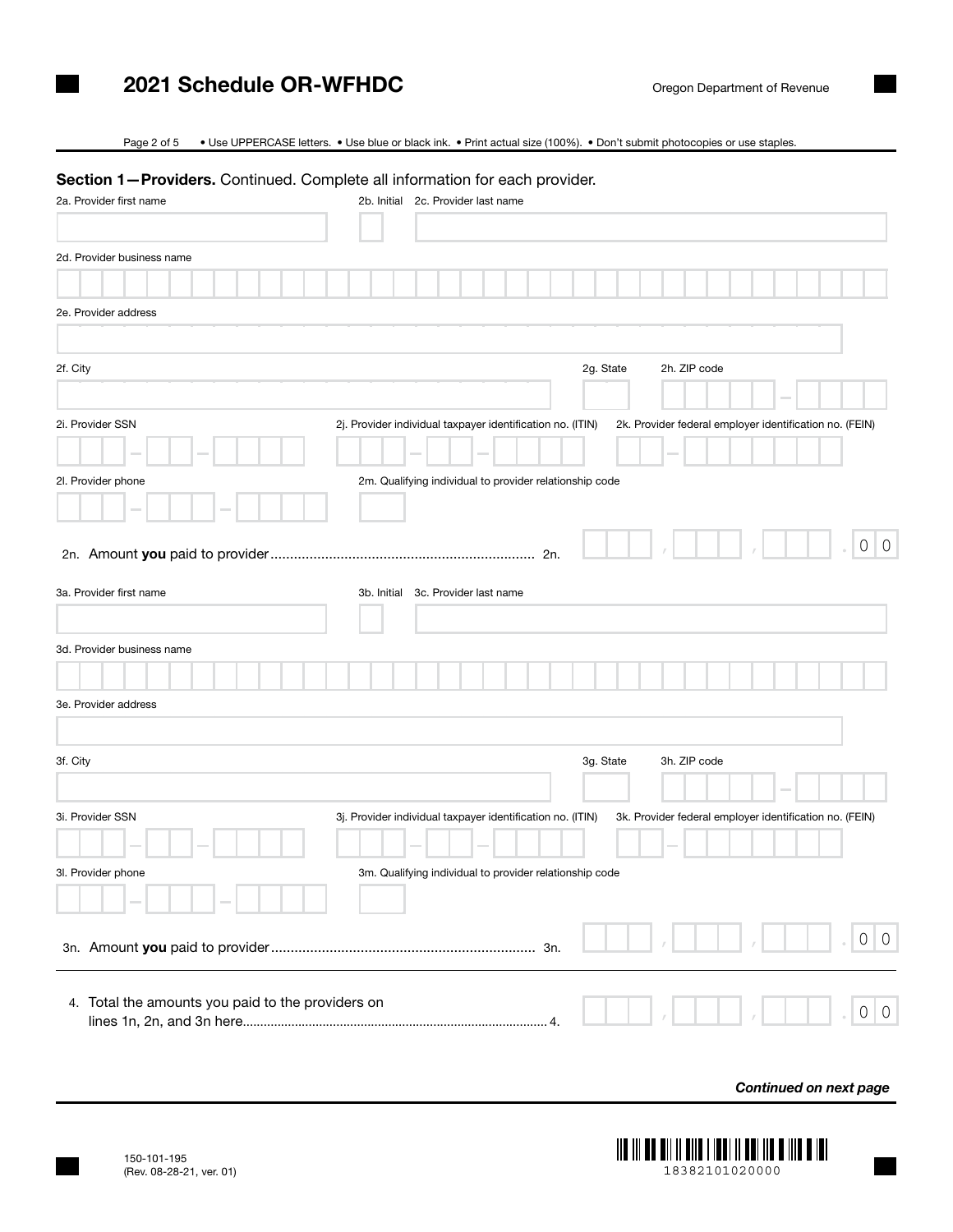## 2021 Schedule OR-WFHDC

• Use UPPERCASE letters. • Use blue or black ink. • Print actual size (100%). • Don't submit photocopies or use staples. Page 2 of 5

#### Section 1-Providers. Continued. Complete all information for each provider.

|                                                   |  |  | 2b. Initial 2c. Provider last name |                                    |  |                                                                                                                          |                                                                                                                                              |  |  |                              |  |  |   |                                                                                                                                                             |
|---------------------------------------------------|--|--|------------------------------------|------------------------------------|--|--------------------------------------------------------------------------------------------------------------------------|----------------------------------------------------------------------------------------------------------------------------------------------|--|--|------------------------------|--|--|---|-------------------------------------------------------------------------------------------------------------------------------------------------------------|
|                                                   |  |  |                                    |                                    |  |                                                                                                                          |                                                                                                                                              |  |  |                              |  |  |   |                                                                                                                                                             |
|                                                   |  |  |                                    |                                    |  |                                                                                                                          |                                                                                                                                              |  |  |                              |  |  |   |                                                                                                                                                             |
|                                                   |  |  |                                    |                                    |  |                                                                                                                          |                                                                                                                                              |  |  |                              |  |  |   |                                                                                                                                                             |
|                                                   |  |  |                                    |                                    |  |                                                                                                                          |                                                                                                                                              |  |  |                              |  |  |   |                                                                                                                                                             |
|                                                   |  |  |                                    |                                    |  |                                                                                                                          |                                                                                                                                              |  |  |                              |  |  |   |                                                                                                                                                             |
|                                                   |  |  |                                    |                                    |  |                                                                                                                          |                                                                                                                                              |  |  |                              |  |  |   |                                                                                                                                                             |
|                                                   |  |  |                                    |                                    |  |                                                                                                                          |                                                                                                                                              |  |  |                              |  |  |   |                                                                                                                                                             |
|                                                   |  |  |                                    |                                    |  |                                                                                                                          |                                                                                                                                              |  |  |                              |  |  |   |                                                                                                                                                             |
|                                                   |  |  |                                    |                                    |  |                                                                                                                          |                                                                                                                                              |  |  |                              |  |  |   |                                                                                                                                                             |
|                                                   |  |  |                                    |                                    |  |                                                                                                                          |                                                                                                                                              |  |  |                              |  |  |   |                                                                                                                                                             |
|                                                   |  |  |                                    |                                    |  |                                                                                                                          |                                                                                                                                              |  |  |                              |  |  |   |                                                                                                                                                             |
|                                                   |  |  |                                    |                                    |  |                                                                                                                          |                                                                                                                                              |  |  |                              |  |  |   | $\circ$                                                                                                                                                     |
|                                                   |  |  |                                    |                                    |  |                                                                                                                          |                                                                                                                                              |  |  |                              |  |  |   |                                                                                                                                                             |
|                                                   |  |  |                                    |                                    |  |                                                                                                                          |                                                                                                                                              |  |  |                              |  |  |   |                                                                                                                                                             |
|                                                   |  |  |                                    |                                    |  |                                                                                                                          |                                                                                                                                              |  |  |                              |  |  |   |                                                                                                                                                             |
|                                                   |  |  |                                    |                                    |  |                                                                                                                          |                                                                                                                                              |  |  |                              |  |  |   |                                                                                                                                                             |
|                                                   |  |  |                                    |                                    |  |                                                                                                                          |                                                                                                                                              |  |  |                              |  |  |   |                                                                                                                                                             |
|                                                   |  |  |                                    |                                    |  |                                                                                                                          |                                                                                                                                              |  |  |                              |  |  |   |                                                                                                                                                             |
|                                                   |  |  |                                    |                                    |  |                                                                                                                          |                                                                                                                                              |  |  |                              |  |  |   |                                                                                                                                                             |
|                                                   |  |  |                                    |                                    |  |                                                                                                                          |                                                                                                                                              |  |  |                              |  |  |   |                                                                                                                                                             |
|                                                   |  |  |                                    |                                    |  |                                                                                                                          |                                                                                                                                              |  |  |                              |  |  |   |                                                                                                                                                             |
|                                                   |  |  |                                    |                                    |  |                                                                                                                          |                                                                                                                                              |  |  |                              |  |  |   |                                                                                                                                                             |
|                                                   |  |  |                                    |                                    |  |                                                                                                                          |                                                                                                                                              |  |  |                              |  |  |   |                                                                                                                                                             |
|                                                   |  |  |                                    |                                    |  |                                                                                                                          |                                                                                                                                              |  |  |                              |  |  |   |                                                                                                                                                             |
|                                                   |  |  |                                    |                                    |  |                                                                                                                          |                                                                                                                                              |  |  |                              |  |  |   |                                                                                                                                                             |
|                                                   |  |  |                                    |                                    |  |                                                                                                                          |                                                                                                                                              |  |  |                              |  |  |   | $\overline{0}$                                                                                                                                              |
|                                                   |  |  |                                    |                                    |  |                                                                                                                          |                                                                                                                                              |  |  |                              |  |  |   |                                                                                                                                                             |
| 4. Total the amounts you paid to the providers on |  |  |                                    |                                    |  |                                                                                                                          |                                                                                                                                              |  |  |                              |  |  |   | $\overline{0}$                                                                                                                                              |
|                                                   |  |  |                                    |                                    |  |                                                                                                                          |                                                                                                                                              |  |  |                              |  |  | 0 |                                                                                                                                                             |
|                                                   |  |  |                                    | 3b. Initial 3c. Provider last name |  | 2j. Provider individual taxpayer identification no. (ITIN)<br>3j. Provider individual taxpayer identification no. (ITIN) | 2g. State<br>2m. Qualifying individual to provider relationship code<br>3g. State<br>3m. Qualifying individual to provider relationship code |  |  | 2h. ZIP code<br>3h. ZIP code |  |  |   | 2k. Provider federal employer identification no. (FEIN)<br>$\mathsf{O}\xspace$<br>3k. Provider federal employer identification no. (FEIN)<br>$\overline{0}$ |

*Continued on next page*

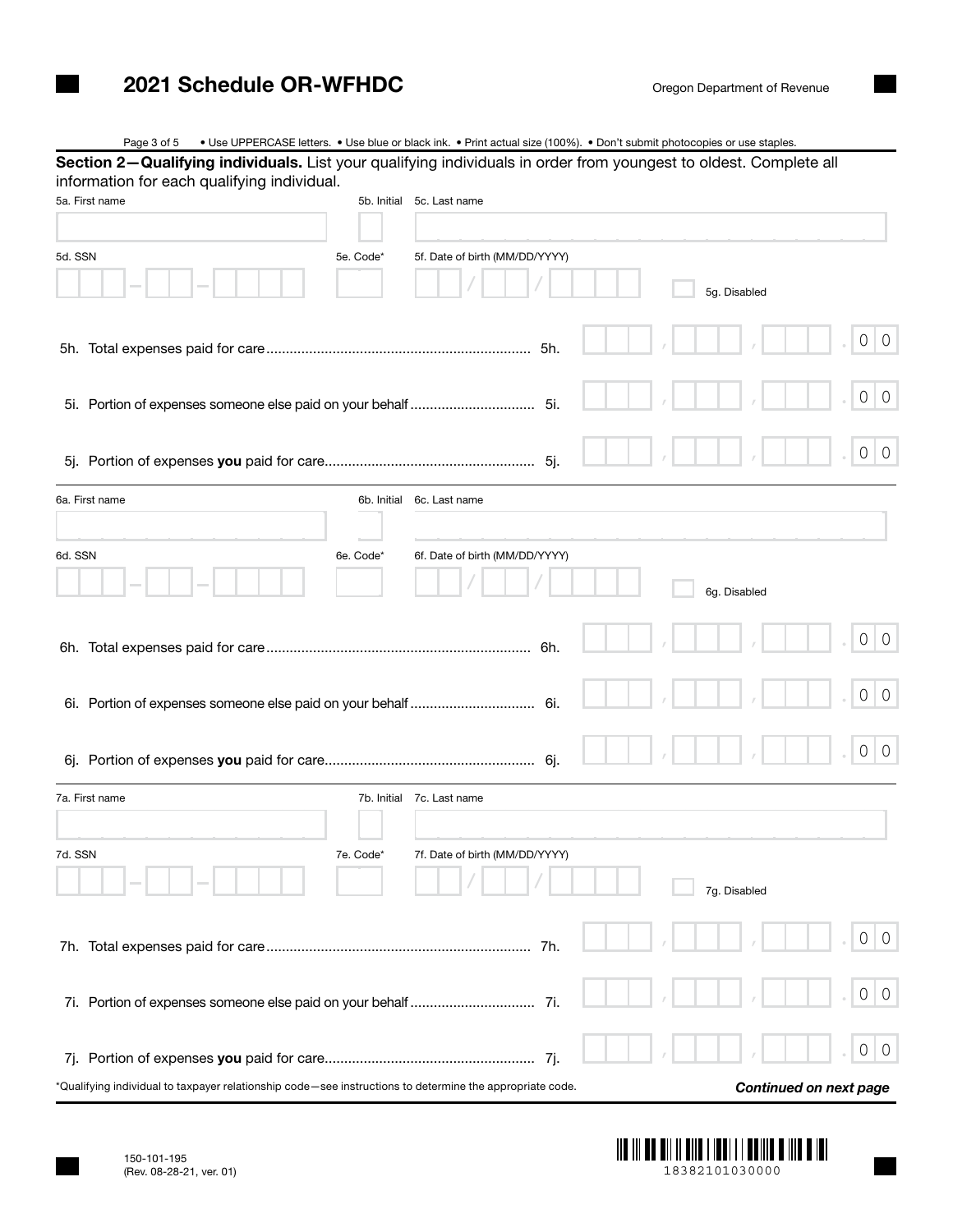# 2021 Schedule OR-WFHDC

| Section 2-Qualifying individuals. List your qualifying individuals in order from youngest to oldest. Complete all<br>information for each qualifying individual.<br>5a. First name<br>5b. Initial<br>5c. Last name<br>5f. Date of birth (MM/DD/YYYY)<br>5d. SSN<br>5e. Code*<br>5q. Disabled<br>$\circ$<br>0<br>$\overline{0}$<br>$\circ$<br>$\overline{0}$<br>$\circ$<br>6a. First name<br>6b. Initial<br>6c. Last name<br>6f. Date of birth (MM/DD/YYYY)<br>6d. SSN<br>6e. Code*<br>6q. Disabled<br>$\overline{0}$<br>0<br>$\overline{0}$<br>0<br>$\overline{0}$<br>$\circ$<br>7a. First name<br>7b. Initial 7c. Last name<br>7d. SSN<br>7e. Code*<br>7f. Date of birth (MM/DD/YYYY)<br>7g. Disabled<br>$\circ$<br>O<br>$\overline{0}$<br>0<br>$\overline{0}$<br>0<br>7j.<br>. Qualifying individual to taxpayer relationship code—see instructions to determine the appropriate code *<br><b>Continued on next page</b> | Page 3 of 5 | • Use UPPERCASE letters. • Use blue or black ink. • Print actual size (100%). • Don't submit photocopies or use staples. |  |
|----------------------------------------------------------------------------------------------------------------------------------------------------------------------------------------------------------------------------------------------------------------------------------------------------------------------------------------------------------------------------------------------------------------------------------------------------------------------------------------------------------------------------------------------------------------------------------------------------------------------------------------------------------------------------------------------------------------------------------------------------------------------------------------------------------------------------------------------------------------------------------------------------------------------------|-------------|--------------------------------------------------------------------------------------------------------------------------|--|
|                                                                                                                                                                                                                                                                                                                                                                                                                                                                                                                                                                                                                                                                                                                                                                                                                                                                                                                            |             |                                                                                                                          |  |
|                                                                                                                                                                                                                                                                                                                                                                                                                                                                                                                                                                                                                                                                                                                                                                                                                                                                                                                            |             |                                                                                                                          |  |
|                                                                                                                                                                                                                                                                                                                                                                                                                                                                                                                                                                                                                                                                                                                                                                                                                                                                                                                            |             |                                                                                                                          |  |
|                                                                                                                                                                                                                                                                                                                                                                                                                                                                                                                                                                                                                                                                                                                                                                                                                                                                                                                            |             |                                                                                                                          |  |
|                                                                                                                                                                                                                                                                                                                                                                                                                                                                                                                                                                                                                                                                                                                                                                                                                                                                                                                            |             |                                                                                                                          |  |
|                                                                                                                                                                                                                                                                                                                                                                                                                                                                                                                                                                                                                                                                                                                                                                                                                                                                                                                            |             |                                                                                                                          |  |
|                                                                                                                                                                                                                                                                                                                                                                                                                                                                                                                                                                                                                                                                                                                                                                                                                                                                                                                            |             |                                                                                                                          |  |
|                                                                                                                                                                                                                                                                                                                                                                                                                                                                                                                                                                                                                                                                                                                                                                                                                                                                                                                            |             |                                                                                                                          |  |
|                                                                                                                                                                                                                                                                                                                                                                                                                                                                                                                                                                                                                                                                                                                                                                                                                                                                                                                            |             |                                                                                                                          |  |
|                                                                                                                                                                                                                                                                                                                                                                                                                                                                                                                                                                                                                                                                                                                                                                                                                                                                                                                            |             |                                                                                                                          |  |
|                                                                                                                                                                                                                                                                                                                                                                                                                                                                                                                                                                                                                                                                                                                                                                                                                                                                                                                            |             |                                                                                                                          |  |
|                                                                                                                                                                                                                                                                                                                                                                                                                                                                                                                                                                                                                                                                                                                                                                                                                                                                                                                            |             |                                                                                                                          |  |
|                                                                                                                                                                                                                                                                                                                                                                                                                                                                                                                                                                                                                                                                                                                                                                                                                                                                                                                            |             |                                                                                                                          |  |
|                                                                                                                                                                                                                                                                                                                                                                                                                                                                                                                                                                                                                                                                                                                                                                                                                                                                                                                            |             |                                                                                                                          |  |
|                                                                                                                                                                                                                                                                                                                                                                                                                                                                                                                                                                                                                                                                                                                                                                                                                                                                                                                            |             |                                                                                                                          |  |
|                                                                                                                                                                                                                                                                                                                                                                                                                                                                                                                                                                                                                                                                                                                                                                                                                                                                                                                            |             |                                                                                                                          |  |
|                                                                                                                                                                                                                                                                                                                                                                                                                                                                                                                                                                                                                                                                                                                                                                                                                                                                                                                            |             |                                                                                                                          |  |
|                                                                                                                                                                                                                                                                                                                                                                                                                                                                                                                                                                                                                                                                                                                                                                                                                                                                                                                            |             |                                                                                                                          |  |
|                                                                                                                                                                                                                                                                                                                                                                                                                                                                                                                                                                                                                                                                                                                                                                                                                                                                                                                            |             |                                                                                                                          |  |
|                                                                                                                                                                                                                                                                                                                                                                                                                                                                                                                                                                                                                                                                                                                                                                                                                                                                                                                            |             |                                                                                                                          |  |
|                                                                                                                                                                                                                                                                                                                                                                                                                                                                                                                                                                                                                                                                                                                                                                                                                                                                                                                            |             |                                                                                                                          |  |
|                                                                                                                                                                                                                                                                                                                                                                                                                                                                                                                                                                                                                                                                                                                                                                                                                                                                                                                            |             |                                                                                                                          |  |
|                                                                                                                                                                                                                                                                                                                                                                                                                                                                                                                                                                                                                                                                                                                                                                                                                                                                                                                            |             |                                                                                                                          |  |
|                                                                                                                                                                                                                                                                                                                                                                                                                                                                                                                                                                                                                                                                                                                                                                                                                                                                                                                            |             |                                                                                                                          |  |
|                                                                                                                                                                                                                                                                                                                                                                                                                                                                                                                                                                                                                                                                                                                                                                                                                                                                                                                            |             |                                                                                                                          |  |
|                                                                                                                                                                                                                                                                                                                                                                                                                                                                                                                                                                                                                                                                                                                                                                                                                                                                                                                            |             |                                                                                                                          |  |
|                                                                                                                                                                                                                                                                                                                                                                                                                                                                                                                                                                                                                                                                                                                                                                                                                                                                                                                            |             |                                                                                                                          |  |
|                                                                                                                                                                                                                                                                                                                                                                                                                                                                                                                                                                                                                                                                                                                                                                                                                                                                                                                            |             |                                                                                                                          |  |
|                                                                                                                                                                                                                                                                                                                                                                                                                                                                                                                                                                                                                                                                                                                                                                                                                                                                                                                            |             |                                                                                                                          |  |
|                                                                                                                                                                                                                                                                                                                                                                                                                                                                                                                                                                                                                                                                                                                                                                                                                                                                                                                            |             |                                                                                                                          |  |
|                                                                                                                                                                                                                                                                                                                                                                                                                                                                                                                                                                                                                                                                                                                                                                                                                                                                                                                            |             |                                                                                                                          |  |
|                                                                                                                                                                                                                                                                                                                                                                                                                                                                                                                                                                                                                                                                                                                                                                                                                                                                                                                            |             |                                                                                                                          |  |
|                                                                                                                                                                                                                                                                                                                                                                                                                                                                                                                                                                                                                                                                                                                                                                                                                                                                                                                            |             |                                                                                                                          |  |
|                                                                                                                                                                                                                                                                                                                                                                                                                                                                                                                                                                                                                                                                                                                                                                                                                                                                                                                            |             |                                                                                                                          |  |
|                                                                                                                                                                                                                                                                                                                                                                                                                                                                                                                                                                                                                                                                                                                                                                                                                                                                                                                            |             |                                                                                                                          |  |

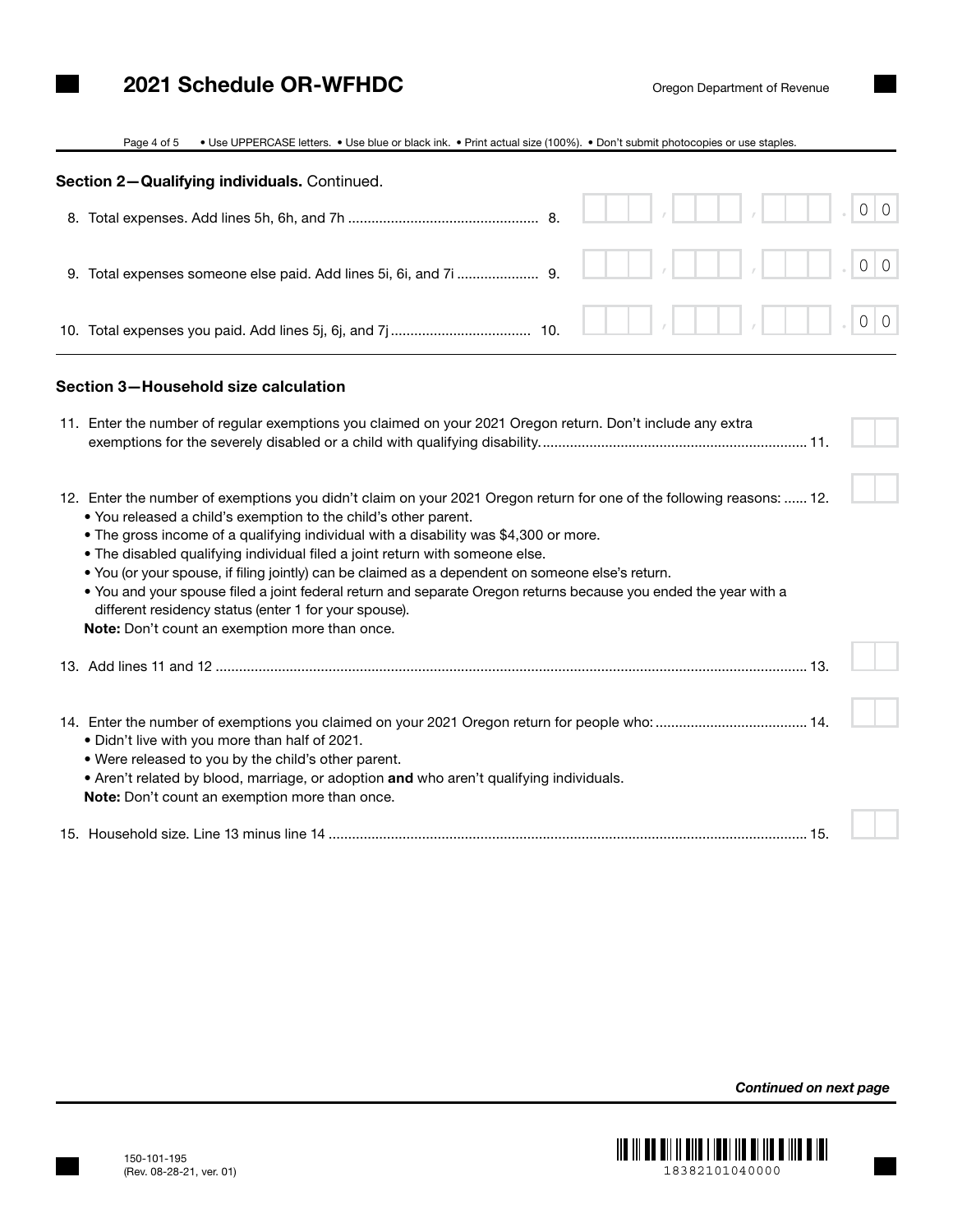• Use UPPERCASE letters. • Use blue or black ink. • Print actual size (100%). • Don't submit photocopies or use staples. Page 4 of 5

| Section 2-Qualifying individuals. Continued.                                                                                                                                                                                                                                                                                                                                                                                                                                                                                                                                                                                                                                                         |         |                |
|------------------------------------------------------------------------------------------------------------------------------------------------------------------------------------------------------------------------------------------------------------------------------------------------------------------------------------------------------------------------------------------------------------------------------------------------------------------------------------------------------------------------------------------------------------------------------------------------------------------------------------------------------------------------------------------------------|---------|----------------|
|                                                                                                                                                                                                                                                                                                                                                                                                                                                                                                                                                                                                                                                                                                      | 0       | $\circ$        |
| 9. Total expenses someone else paid. Add lines 5i, 6i, and 7i  9.                                                                                                                                                                                                                                                                                                                                                                                                                                                                                                                                                                                                                                    | $\circ$ | $\circ$        |
|                                                                                                                                                                                                                                                                                                                                                                                                                                                                                                                                                                                                                                                                                                      | 0       | $\overline{0}$ |
| Section 3-Household size calculation                                                                                                                                                                                                                                                                                                                                                                                                                                                                                                                                                                                                                                                                 |         |                |
| 11. Enter the number of regular exemptions you claimed on your 2021 Oregon return. Don't include any extra                                                                                                                                                                                                                                                                                                                                                                                                                                                                                                                                                                                           |         |                |
| 12. Enter the number of exemptions you didn't claim on your 2021 Oregon return for one of the following reasons:  12.<br>. You released a child's exemption to the child's other parent.<br>. The gross income of a qualifying individual with a disability was \$4,300 or more.<br>. The disabled qualifying individual filed a joint return with someone else.<br>. You (or your spouse, if filing jointly) can be claimed as a dependent on someone else's return.<br>. You and your spouse filed a joint federal return and separate Oregon returns because you ended the year with a<br>different residency status (enter 1 for your spouse).<br>Note: Don't count an exemption more than once. |         |                |
|                                                                                                                                                                                                                                                                                                                                                                                                                                                                                                                                                                                                                                                                                                      |         |                |
| 14. Enter the number of exemptions you claimed on your 2021 Oregon return for people who:  14.<br>. Didn't live with you more than half of 2021.<br>. Were released to you by the child's other parent.<br>. Aren't related by blood, marriage, or adoption and who aren't qualifying individuals.<br>Note: Don't count an exemption more than once.                                                                                                                                                                                                                                                                                                                                                 |         |                |
|                                                                                                                                                                                                                                                                                                                                                                                                                                                                                                                                                                                                                                                                                                      |         |                |

*Continued on next page*